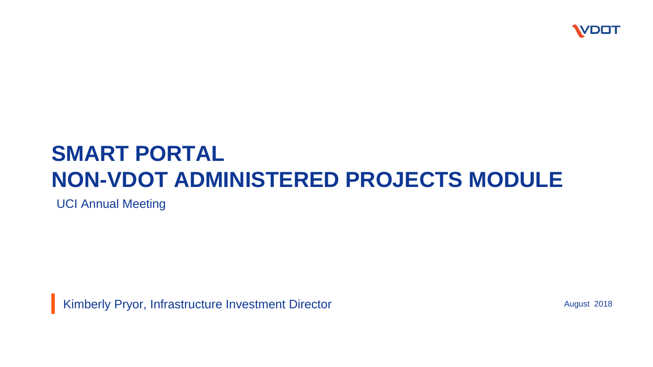

### **SMART PORTAL NON-VDOT ADMINISTERED PROJECTS MODULE**

UCI Annual Meeting

Kimberly Pryor, Infrastructure Investment Director

August 2018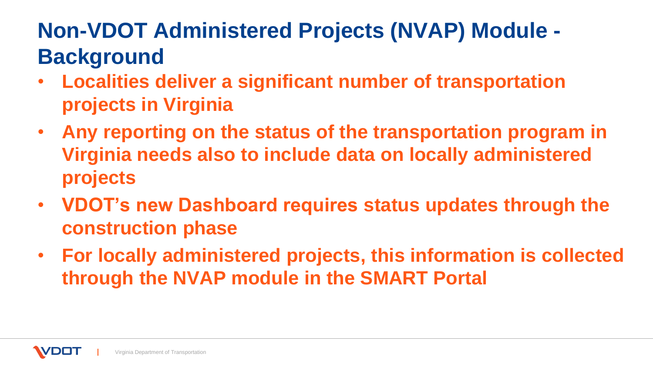# **Non-VDOT Administered Projects (NVAP) Module - Background**

- **Localities deliver a significant number of transportation projects in Virginia**
- **Any reporting on the status of the transportation program in Virginia needs also to include data on locally administered projects**
- **VDOT's new Dashboard requires status updates through the construction phase**
- **For locally administered projects, this information is collected through the NVAP module in the SMART Portal**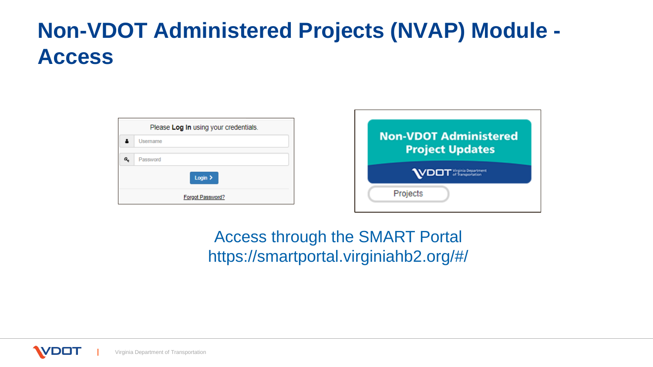### **Non-VDOT Administered Projects (NVAP) Module - Access**

|   | Please Log In using your credentials. |  |  |  |  |  |
|---|---------------------------------------|--|--|--|--|--|
|   | Username                              |  |  |  |  |  |
| a | Password                              |  |  |  |  |  |
|   | Login $\geq$                          |  |  |  |  |  |
|   | Forgot Password?                      |  |  |  |  |  |



Access through the SMART Portal https://smartportal.virginiahb2.org/#/

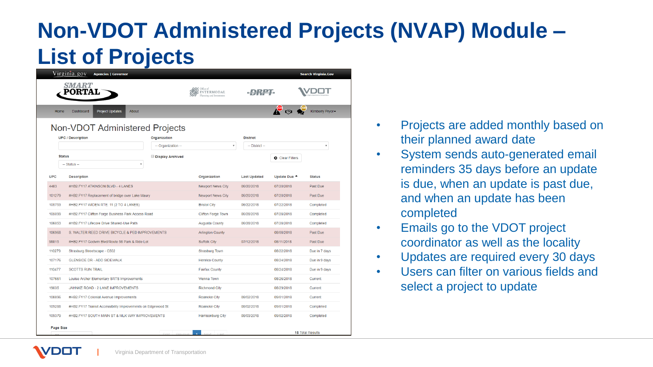## **Non-VDOT Administered Projects (NVAP) Module – List of Projects**

| <i><b>SMART</b></i><br>RTAL<br>INTERMODAL<br>nning and Investmen<br><b>Project Updates</b><br>About<br>Home<br>Dashboard<br>Non-VDOT Administered Projects<br>Organization<br><b>District</b><br><b>UPC / Description</b><br>-- Organization --<br>$\overline{\mathbf{v}}$<br>-- District --<br>$\bar{\mathbf{v}}$<br><b>Status</b><br><b>Display Archived</b><br><b>Q</b> Clear Filters<br>-- Status --<br>$\overline{\mathbf{v}}$<br><b>UPC</b><br><b>Description</b><br><b>Status</b><br>Organization<br><b>Last Updated</b><br>Update Due <sup>4</sup><br>4483<br>#HB2.FY17 ATKINSON BLVD - 4 LANES<br>Newport News City<br>06/20/2018<br>07/20/2018<br>Past Due<br>101279<br><b>Newport News City</b><br>07/20/2018<br>Past Due<br>#HB2.FY17 Replacement of bridge over Lake Maury<br>06/20/2018<br>105753<br>#HB2.FY17 WIDEN RTE. 11 (2 TO 4 LANES)<br><b>Bristol City</b><br>06/22/2018<br>07/22/2018<br>Completed<br>#HB2.FY17 Clifton Forge Business Park Access Road<br>105099<br><b>Clifton Forge Town</b><br>06/28/2018<br>07/28/2018<br>Completed<br>106053<br>#HB2.FY17 Lifecore Drive Shared-Use Path<br>06/28/2018<br>07/28/2018<br>Completed<br><b>Augusta County</b><br>106968<br>S. WALTER REED DRIVE BICYCLE & PED IMPROVEMENTS<br>08/08/2018<br>Past Due<br><b>Arlington County</b><br>98815<br>Past Due<br>#HB2.FY17 Godwin Blvd/Route 58 Park & Ride Lot<br><b>Suffolk City</b><br>07/12/2018<br>08/11/2018<br>110279<br><b>Strasburg Town</b><br>08/22/2018<br>Strasburg Streetscape - C502<br>107176<br><b>GLENSIDE DR - ADD SIDEWALK</b><br>08/24/2018<br><b>Henrico County</b><br>110477<br><b>SCOTTS RUN TRAIL</b><br><b>Fairfax County</b><br>08/24/2018<br>107661<br>Louise Archer Elementary SRTS Improvements<br><b>Vienna Town</b><br>08/26/2018<br>Current<br>19035<br>JAHNKE ROAD - 2 LANE IMPROVEMENTS<br><b>Richmond City</b><br>08/29/2018<br>Current<br>108896<br>08/02/2018<br>09/01/2018<br>#HB2.FY17 Colonial Avenue Improvements<br>Roanoke City<br>Current<br>109288<br>#HB2.FY17 Transit Accessibility Improvements on Edgewood St<br>Roanoke City<br>08/02/2018<br>09/01/2018<br>Completed | Virginia.gov<br><b>Agencies   Governor</b><br><b>Search Virginia.Gov</b> |  |  |  |  |  |               |  |  |
|------------------------------------------------------------------------------------------------------------------------------------------------------------------------------------------------------------------------------------------------------------------------------------------------------------------------------------------------------------------------------------------------------------------------------------------------------------------------------------------------------------------------------------------------------------------------------------------------------------------------------------------------------------------------------------------------------------------------------------------------------------------------------------------------------------------------------------------------------------------------------------------------------------------------------------------------------------------------------------------------------------------------------------------------------------------------------------------------------------------------------------------------------------------------------------------------------------------------------------------------------------------------------------------------------------------------------------------------------------------------------------------------------------------------------------------------------------------------------------------------------------------------------------------------------------------------------------------------------------------------------------------------------------------------------------------------------------------------------------------------------------------------------------------------------------------------------------------------------------------------------------------------------------------------------------------------------------------------------------------------------------------------------------------------------------------------------------------------------------------------------------------|--------------------------------------------------------------------------|--|--|--|--|--|---------------|--|--|
|                                                                                                                                                                                                                                                                                                                                                                                                                                                                                                                                                                                                                                                                                                                                                                                                                                                                                                                                                                                                                                                                                                                                                                                                                                                                                                                                                                                                                                                                                                                                                                                                                                                                                                                                                                                                                                                                                                                                                                                                                                                                                                                                          |                                                                          |  |  |  |  |  |               |  |  |
|                                                                                                                                                                                                                                                                                                                                                                                                                                                                                                                                                                                                                                                                                                                                                                                                                                                                                                                                                                                                                                                                                                                                                                                                                                                                                                                                                                                                                                                                                                                                                                                                                                                                                                                                                                                                                                                                                                                                                                                                                                                                                                                                          | Kimberly Pryor-                                                          |  |  |  |  |  |               |  |  |
|                                                                                                                                                                                                                                                                                                                                                                                                                                                                                                                                                                                                                                                                                                                                                                                                                                                                                                                                                                                                                                                                                                                                                                                                                                                                                                                                                                                                                                                                                                                                                                                                                                                                                                                                                                                                                                                                                                                                                                                                                                                                                                                                          |                                                                          |  |  |  |  |  |               |  |  |
|                                                                                                                                                                                                                                                                                                                                                                                                                                                                                                                                                                                                                                                                                                                                                                                                                                                                                                                                                                                                                                                                                                                                                                                                                                                                                                                                                                                                                                                                                                                                                                                                                                                                                                                                                                                                                                                                                                                                                                                                                                                                                                                                          |                                                                          |  |  |  |  |  |               |  |  |
|                                                                                                                                                                                                                                                                                                                                                                                                                                                                                                                                                                                                                                                                                                                                                                                                                                                                                                                                                                                                                                                                                                                                                                                                                                                                                                                                                                                                                                                                                                                                                                                                                                                                                                                                                                                                                                                                                                                                                                                                                                                                                                                                          |                                                                          |  |  |  |  |  |               |  |  |
|                                                                                                                                                                                                                                                                                                                                                                                                                                                                                                                                                                                                                                                                                                                                                                                                                                                                                                                                                                                                                                                                                                                                                                                                                                                                                                                                                                                                                                                                                                                                                                                                                                                                                                                                                                                                                                                                                                                                                                                                                                                                                                                                          |                                                                          |  |  |  |  |  |               |  |  |
|                                                                                                                                                                                                                                                                                                                                                                                                                                                                                                                                                                                                                                                                                                                                                                                                                                                                                                                                                                                                                                                                                                                                                                                                                                                                                                                                                                                                                                                                                                                                                                                                                                                                                                                                                                                                                                                                                                                                                                                                                                                                                                                                          |                                                                          |  |  |  |  |  |               |  |  |
|                                                                                                                                                                                                                                                                                                                                                                                                                                                                                                                                                                                                                                                                                                                                                                                                                                                                                                                                                                                                                                                                                                                                                                                                                                                                                                                                                                                                                                                                                                                                                                                                                                                                                                                                                                                                                                                                                                                                                                                                                                                                                                                                          |                                                                          |  |  |  |  |  |               |  |  |
|                                                                                                                                                                                                                                                                                                                                                                                                                                                                                                                                                                                                                                                                                                                                                                                                                                                                                                                                                                                                                                                                                                                                                                                                                                                                                                                                                                                                                                                                                                                                                                                                                                                                                                                                                                                                                                                                                                                                                                                                                                                                                                                                          |                                                                          |  |  |  |  |  |               |  |  |
|                                                                                                                                                                                                                                                                                                                                                                                                                                                                                                                                                                                                                                                                                                                                                                                                                                                                                                                                                                                                                                                                                                                                                                                                                                                                                                                                                                                                                                                                                                                                                                                                                                                                                                                                                                                                                                                                                                                                                                                                                                                                                                                                          |                                                                          |  |  |  |  |  |               |  |  |
|                                                                                                                                                                                                                                                                                                                                                                                                                                                                                                                                                                                                                                                                                                                                                                                                                                                                                                                                                                                                                                                                                                                                                                                                                                                                                                                                                                                                                                                                                                                                                                                                                                                                                                                                                                                                                                                                                                                                                                                                                                                                                                                                          |                                                                          |  |  |  |  |  |               |  |  |
|                                                                                                                                                                                                                                                                                                                                                                                                                                                                                                                                                                                                                                                                                                                                                                                                                                                                                                                                                                                                                                                                                                                                                                                                                                                                                                                                                                                                                                                                                                                                                                                                                                                                                                                                                                                                                                                                                                                                                                                                                                                                                                                                          |                                                                          |  |  |  |  |  |               |  |  |
|                                                                                                                                                                                                                                                                                                                                                                                                                                                                                                                                                                                                                                                                                                                                                                                                                                                                                                                                                                                                                                                                                                                                                                                                                                                                                                                                                                                                                                                                                                                                                                                                                                                                                                                                                                                                                                                                                                                                                                                                                                                                                                                                          |                                                                          |  |  |  |  |  |               |  |  |
|                                                                                                                                                                                                                                                                                                                                                                                                                                                                                                                                                                                                                                                                                                                                                                                                                                                                                                                                                                                                                                                                                                                                                                                                                                                                                                                                                                                                                                                                                                                                                                                                                                                                                                                                                                                                                                                                                                                                                                                                                                                                                                                                          |                                                                          |  |  |  |  |  |               |  |  |
|                                                                                                                                                                                                                                                                                                                                                                                                                                                                                                                                                                                                                                                                                                                                                                                                                                                                                                                                                                                                                                                                                                                                                                                                                                                                                                                                                                                                                                                                                                                                                                                                                                                                                                                                                                                                                                                                                                                                                                                                                                                                                                                                          |                                                                          |  |  |  |  |  |               |  |  |
|                                                                                                                                                                                                                                                                                                                                                                                                                                                                                                                                                                                                                                                                                                                                                                                                                                                                                                                                                                                                                                                                                                                                                                                                                                                                                                                                                                                                                                                                                                                                                                                                                                                                                                                                                                                                                                                                                                                                                                                                                                                                                                                                          |                                                                          |  |  |  |  |  | Due in 7 days |  |  |
|                                                                                                                                                                                                                                                                                                                                                                                                                                                                                                                                                                                                                                                                                                                                                                                                                                                                                                                                                                                                                                                                                                                                                                                                                                                                                                                                                                                                                                                                                                                                                                                                                                                                                                                                                                                                                                                                                                                                                                                                                                                                                                                                          |                                                                          |  |  |  |  |  | Due in 9 days |  |  |
|                                                                                                                                                                                                                                                                                                                                                                                                                                                                                                                                                                                                                                                                                                                                                                                                                                                                                                                                                                                                                                                                                                                                                                                                                                                                                                                                                                                                                                                                                                                                                                                                                                                                                                                                                                                                                                                                                                                                                                                                                                                                                                                                          |                                                                          |  |  |  |  |  | Due in 9 days |  |  |
|                                                                                                                                                                                                                                                                                                                                                                                                                                                                                                                                                                                                                                                                                                                                                                                                                                                                                                                                                                                                                                                                                                                                                                                                                                                                                                                                                                                                                                                                                                                                                                                                                                                                                                                                                                                                                                                                                                                                                                                                                                                                                                                                          |                                                                          |  |  |  |  |  |               |  |  |
|                                                                                                                                                                                                                                                                                                                                                                                                                                                                                                                                                                                                                                                                                                                                                                                                                                                                                                                                                                                                                                                                                                                                                                                                                                                                                                                                                                                                                                                                                                                                                                                                                                                                                                                                                                                                                                                                                                                                                                                                                                                                                                                                          |                                                                          |  |  |  |  |  |               |  |  |
|                                                                                                                                                                                                                                                                                                                                                                                                                                                                                                                                                                                                                                                                                                                                                                                                                                                                                                                                                                                                                                                                                                                                                                                                                                                                                                                                                                                                                                                                                                                                                                                                                                                                                                                                                                                                                                                                                                                                                                                                                                                                                                                                          |                                                                          |  |  |  |  |  |               |  |  |
|                                                                                                                                                                                                                                                                                                                                                                                                                                                                                                                                                                                                                                                                                                                                                                                                                                                                                                                                                                                                                                                                                                                                                                                                                                                                                                                                                                                                                                                                                                                                                                                                                                                                                                                                                                                                                                                                                                                                                                                                                                                                                                                                          |                                                                          |  |  |  |  |  |               |  |  |
| 109379<br>#HB2.FY17 SOUTH MAIN ST & MLK WAY IMPROVEMENTS<br><b>Harrisonburg City</b><br>08/03/2018<br>09/02/2018<br>Completed                                                                                                                                                                                                                                                                                                                                                                                                                                                                                                                                                                                                                                                                                                                                                                                                                                                                                                                                                                                                                                                                                                                                                                                                                                                                                                                                                                                                                                                                                                                                                                                                                                                                                                                                                                                                                                                                                                                                                                                                            |                                                                          |  |  |  |  |  |               |  |  |
| Page Size<br><b>15 Total Results</b>                                                                                                                                                                                                                                                                                                                                                                                                                                                                                                                                                                                                                                                                                                                                                                                                                                                                                                                                                                                                                                                                                                                                                                                                                                                                                                                                                                                                                                                                                                                                                                                                                                                                                                                                                                                                                                                                                                                                                                                                                                                                                                     |                                                                          |  |  |  |  |  |               |  |  |

- Projects are added monthly based on their planned award date
- System sends auto-generated email reminders 35 days before an update is due, when an update is past due, and when an update has been completed
- Emails go to the VDOT project coordinator as well as the locality
- Updates are required every 30 days
- Users can filter on various fields and select a project to update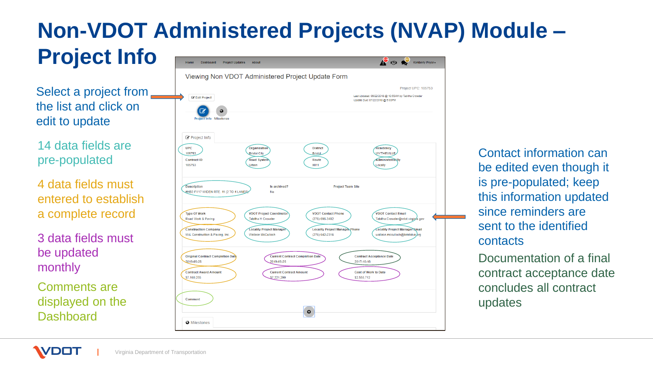### **Non-VDOT Administered Projects (NVAP) Module – Project Info**

Select a project from  $\blacksquare$ the list and click on edit to update

14 data fields are pre-populated

4 data fields must entered to establish a complete record

3 data fields must be updated monthly

Comments are displayed on the **Dashboard** 

**VDO** 

|                                                                                      | Viewing Non VDOT Administered Project Update Form                                |                                                                           |                                                                                                        |
|--------------------------------------------------------------------------------------|----------------------------------------------------------------------------------|---------------------------------------------------------------------------|--------------------------------------------------------------------------------------------------------|
|                                                                                      |                                                                                  |                                                                           | <b>Project UPC: 105753</b>                                                                             |
| <b>Edit Project</b><br><b>Project Info Milestones</b>                                |                                                                                  |                                                                           | Last Updated: 06/22/2018 @ 10:55AM by Tabitha Crowder<br>Update Due: 07/22/2018 @ 5:00PM               |
| Project Info<br><b>UPC</b><br>105753                                                 | Organization<br><b>Bristol City</b>                                              | <b>District</b><br><b>Bristol</b>                                         | Residency<br><b>WYTHEVILLE</b>                                                                         |
| <b>Contract ID</b><br>105753                                                         | <b>Road System</b><br>Urban                                                      | Route<br>0011                                                             | Administered By<br>Locally                                                                             |
| #HB2.FY17 WIDEN RTE. 11 (2 TO 4 LANES)                                               | No                                                                               |                                                                           |                                                                                                        |
| <b>Type Of Work</b>                                                                  | <b>VDOT Project Coordinator</b>                                                  | <b>VDOT Contact Phone</b>                                                 | <b>VDOT Contact Email</b>                                                                              |
| Road Work & Paving<br><b>Construction Company</b><br>W-L Construction & Paving, Inc. | Tabitha H Crowder<br><b>Locality Project Manager</b><br><b>Wallace McCulloch</b> | (276) 696-3482<br><b>Locality Project Manager Phone</b><br>(276) 642-2316 | Tabitha.Crowder@vdot.virginia.gov<br>Locality Project Manager Email<br>wallace.mcculloch@bristolva.org |
| <b>Original Contract Completion Date</b><br>2019-05-25                               | <b>Current Contract Completion Date</b><br>2019-05-25                            | 2017-10-18                                                                | <b>Contract Acceptance Date</b>                                                                        |
| <b>Contract Award Amount</b><br>\$7,160,255                                          | <b>Current Contract Amount</b><br>\$7,221,299                                    | \$2,550,712                                                               | Cost of Work to Date                                                                                   |

Contact information can be edited even though it is pre-populated; keep this information updated since reminders are sent to the identified contacts

Documentation of a final contract acceptance date concludes all contract updates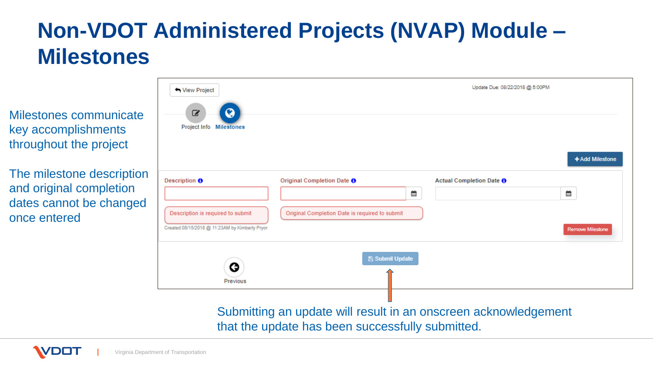### **Non-VDOT Administered Projects (NVAP) Module – Milestones**

Milestones communicate key accomplishments throughout the project

The milestone description and original completion dates cannot be changed once entered

**DO** 

| ← View Project                                 |                                                                 | Update Due: 08/22/2018 @ 5:00PM |                          |                         |  |
|------------------------------------------------|-----------------------------------------------------------------|---------------------------------|--------------------------|-------------------------|--|
| 0<br>☑<br><b>Project Info Milestones</b>       |                                                                 |                                 |                          |                         |  |
|                                                |                                                                 |                                 |                          | +Add Milestone          |  |
| Description $\boldsymbol{\Theta}$              | Original Completion Date O                                      |                                 | Actual Completion Date O |                         |  |
|                                                |                                                                 | ≝                               |                          | ≝                       |  |
| Description is required to submit              | Original Completion Date is required to submit                  |                                 |                          |                         |  |
| Created:08/15/2018 @ 11:23AM by Kimberly Pryor |                                                                 |                                 |                          | <b>Remove Milestone</b> |  |
|                                                | <b>图 Submit Update</b>                                          |                                 |                          |                         |  |
| G<br>Previous                                  |                                                                 |                                 |                          |                         |  |
|                                                |                                                                 |                                 |                          |                         |  |
|                                                | Submitting an update will result in an onscreen acknowledgement |                                 |                          |                         |  |
|                                                | that the update has been successfully submitted.                |                                 |                          |                         |  |